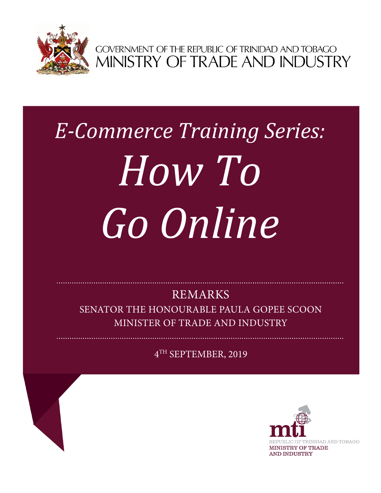

GOVERNMENT OF THE REPUBLIC OF TRINIDAD AND TOBAGO<br>MINISTRY OF TRADE AND INDUSTRY

# *E-Commerce Training Series: How To Go Online*

REMARKS

SENATOR THE HONOURABLE PAULA GOPEE SCOON MINISTER OF TRADE AND INDUSTRY

4TH SEPTEMBER, 2019

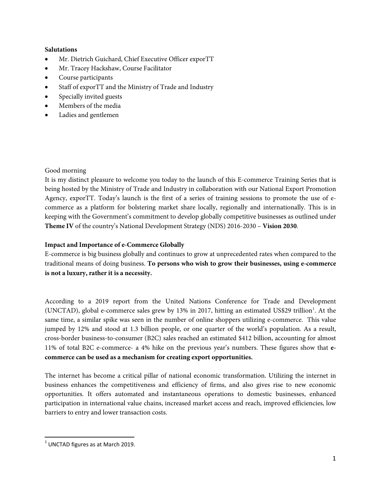## **Salutations**

- Mr. Dietrich Guichard, Chief Executive Officer exporTT
- Mr. Tracey Hackshaw, Course Facilitator
- Course participants
- Staff of exporTT and the Ministry of Trade and Industry
- Specially invited guests
- Members of the media
- Ladies and gentlemen

## Good morning

It is my distinct pleasure to welcome you today to the launch of this E-commerce Training Series that is being hosted by the Ministry of Trade and Industry in collaboration with our National Export Promotion Agency, exporTT. Today's launch is the first of a series of training sessions to promote the use of ecommerce as a platform for bolstering market share locally, regionally and internationally. This is in keeping with the Government's commitment to develop globally competitive businesses as outlined under **Theme IV** of the country's National Development Strategy (NDS) 2016-2030 – **Vision 2030**.

## **Impact and Importance of e-Commerce Globally**

E-commerce is big business globally and continues to grow at unprecedented rates when compared to the traditional means of doing business. **To persons who wish to grow their businesses, using e-commerce is not a luxury, rather it is a necessity.** 

According to a 2019 report from the United Nations Conference for Trade and Development (UNCTAD), global e-commerce sales grew by 13% in 2017, hitting an estimated US\$29 trillion<sup>1</sup>. At the same time, a similar spike was seen in the number of online shoppers utilizing e-commerce. This value jumped by 12% and stood at 1.3 billion people, or one quarter of the world's population. As a result, cross-border business-to-consumer (B2C) sales reached an estimated \$412 billion, accounting for almost 11% of total B2C e-commerce- a 4% hike on the previous year's numbers. These figures show that **ecommerce can be used as a mechanism for creating export opportunities.**

The internet has become a critical pillar of national economic transformation. Utilizing the internet in business enhances the competitiveness and efficiency of firms, and also gives rise to new economic opportunities. It offers automated and instantaneous operations to domestic businesses, enhanced participation in international value chains, increased market access and reach, improved efficiencies, low barriers to entry and lower transaction costs.

<span id="page-1-0"></span> $<sup>1</sup>$  UNCTAD figures as at March 2019.</sup>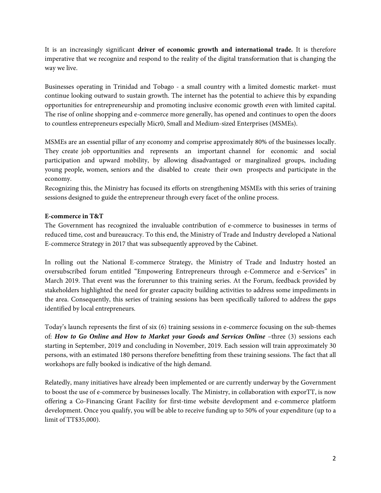It is an increasingly significant **driver of economic growth and international trade.** It is therefore imperative that we recognize and respond to the reality of the digital transformation that is changing the way we live.

Businesses operating in Trinidad and Tobago - a small country with a limited domestic market- must continue looking outward to sustain growth. The internet has the potential to achieve this by expanding opportunities for entrepreneurship and promoting inclusive economic growth even with limited capital. The rise of online shopping and e-commerce more generally, has opened and continues to open the doors to countless entrepreneurs especially Micr0, Small and Medium-sized Enterprises (MSMEs).

MSMEs are an essential pillar of any economy and comprise approximately 80% of the businesses locally. They create job opportunities and represents an important channel for economic and social participation and upward mobility, by allowing disadvantaged or marginalized groups, including young people, women, seniors and the disabled to create their own prospects and participate in the economy.

Recognizing this, the Ministry has focused its efforts on strengthening MSMEs with this series of training sessions designed to guide the entrepreneur through every facet of the online process.

# **E-commerce in T&T**

The Government has recognized the invaluable contribution of e-commerce to businesses in terms of reduced time, cost and bureaucracy. To this end, the Ministry of Trade and Industry developed a National E-commerce Strategy in 2017 that was subsequently approved by the Cabinet.

In rolling out the National E-commerce Strategy, the Ministry of Trade and Industry hosted an oversubscribed forum entitled "Empowering Entrepreneurs through e-Commerce and e-Services" in March 2019. That event was the forerunner to this training series. At the Forum, feedback provided by stakeholders highlighted the need for greater capacity building activities to address some impediments in the area. Consequently, this series of training sessions has been specifically tailored to address the gaps identified by local entrepreneurs.

Today's launch represents the first of six (6) training sessions in e-commerce focusing on the sub-themes of: *How to Go Online and How to Market your Goods and Services Online* –three (3) sessions each starting in September, 2019 and concluding in November, 2019. Each session will train approximately 30 persons, with an estimated 180 persons therefore benefitting from these training sessions. The fact that all workshops are fully booked is indicative of the high demand.

Relatedly, many initiatives have already been implemented or are currently underway by the Government to boost the use of e-commerce by businesses locally. The Ministry, in collaboration with exporTT, is now offering a Co-Financing Grant Facility for first-time website development and e-commerce platform development. Once you qualify, you will be able to receive funding up to 50% of your expenditure (up to a limit of TT\$35,000).